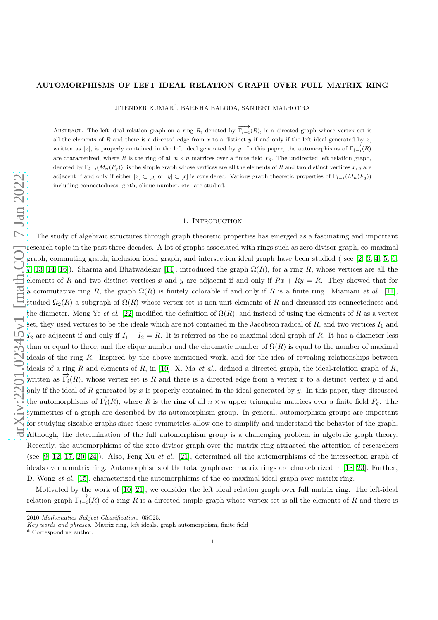# AUTOMORPHISMS OF LEFT IDEAL RELATION GRAPH OVER FULL MATRIX RING

JITENDER KUMAR $^\ast,$ BARKHA BALODA, SANJEET MALHOTRA

ABSTRACT. The left-ideal relation graph on a ring R, denoted by  $\overrightarrow{\Gamma_{l-i}}(R)$ , is a directed graph whose vertex set is all the elements of R and there is a directed edge from  $x$  to a distinct  $y$  if and only if the left ideal generated by  $x$ , written as [x], is properly contained in the left ideal generated by y. In this paper, the automorphisms of  $\overline{\Gamma^{-1}_{l-1}}(R)$ are characterized, where R is the ring of all  $n \times n$  matrices over a finite field  $F_q$ . The undirected left relation graph, denoted by  $\Gamma_{l-i}(M_n(F_q))$ , is the simple graph whose vertices are all the elements of R and two distinct vertices x, y are adjacent if and only if either  $[x] \subset [y]$  or  $[y] \subset [x]$  is considered. Various graph theoretic properties of  $\Gamma_{l-i}(M_n(F_q))$ including connectedness, girth, clique number, etc. are studied.

### 1. Introduction

The study of algebraic structures through graph theoretic properties has emerged as a fascinating and important research topic in the past three decades. A lot of graphs associated with rings such as zero divisor graph, co-maximal graph, commuting graph, inclusion ideal graph, and intersection ideal graph have been studied ( see [\[2,](#page-10-0) [3,](#page-10-1) [4,](#page-10-2) [5,](#page-10-3) [6,](#page-10-4) [7,](#page-10-5) [13,](#page-10-6) [14,](#page-10-7) [16\]](#page-10-8)). Sharma and Bhatwadekar [\[14\]](#page-10-7), introduced the graph  $\Omega(R)$ , for a ring R, whose vertices are all the elements of R and two distinct vertices x and y are adjacent if and only if  $Rx + Ry = R$ . They showed that for a commutative ring R, the graph  $\Omega(R)$  is finitely colorable if and only if R is a finite ring. Miamani *et al.* [\[11\]](#page-10-9), studied  $\Omega_2(R)$  a subgraph of  $\Omega(R)$  whose vertex set is non-unit elements of R and discussed its connectedness and the diameter. Meng Ye *et al.* [\[22\]](#page-10-10) modified the definition of  $\Omega(R)$ , and instead of using the elements of R as a vertex set, they used vertices to be the ideals which are not contained in the Jacobson radical of  $R$ , and two vertices  $I_1$  and  $I_2$  are adjacent if and only if  $I_1 + I_2 = R$ . It is referred as the co-maximal ideal graph of R. It has a diameter less than or equal to three, and the clique number and the chromatic number of  $\Omega(R)$  is equal to the number of maximal ideals of the ring R. Inspired by the above mentioned work, and for the idea of revealing relationships between ideals of a ring R and elements of R, in [\[10\]](#page-10-11), X. Ma *et al.*, defined a directed graph, the ideal-relation graph of R, written as  $\overrightarrow{\Gamma_i(R)}$ , whose vertex set is R and there is a directed edge from a vertex x to a distinct vertex y if and only if the ideal of R generated by x is properly contained in the ideal generated by y. In this paper, they discussed the automorphisms of  $\overrightarrow{\Gamma_i}(R)$ , where R is the ring of all  $n \times n$  upper triangular matrices over a finite field  $F_q$ . The symmetries of a graph are described by its automorphism group. In general, automorphism groups are important for studying sizeable graphs since these symmetries allow one to simplify and understand the behavior of the graph. Although, the determination of the full automorphism group is a challenging problem in algebraic graph theory. Recently, the automorphisms of the zero-divisor graph over the matrix ring attracted the attention of researchers (see [\[9,](#page-10-12) [12,](#page-10-13) [17,](#page-10-14) [20,](#page-10-15) [24\]](#page-10-16)). Also, Feng Xu *et al.* [\[21\]](#page-10-17), determined all the automorphisms of the intersection graph of ideals over a matrix ring. Automorphisms of the total graph over matrix rings are characterized in [\[18,](#page-10-18) [23\]](#page-10-19). Further, D. Wong *et al.* [\[15\]](#page-10-20), characterized the automorphisms of the co-maximal ideal graph over matrix ring.

Motivated by the work of [\[10,](#page-10-11) [21\]](#page-10-17), we consider the left ideal relation graph over full matrix ring. The left-ideal relation graph  $\overrightarrow{\Gamma_{l-i}}(R)$  of a ring R is a directed simple graph whose vertex set is all the elements of R and there is

<sup>2010</sup> *Mathematics Subject Classification.* 05C25.

*Key words and phrases.* Matrix ring, left ideals, graph automorphism, finite field

<sup>\*</sup> Corresponding author.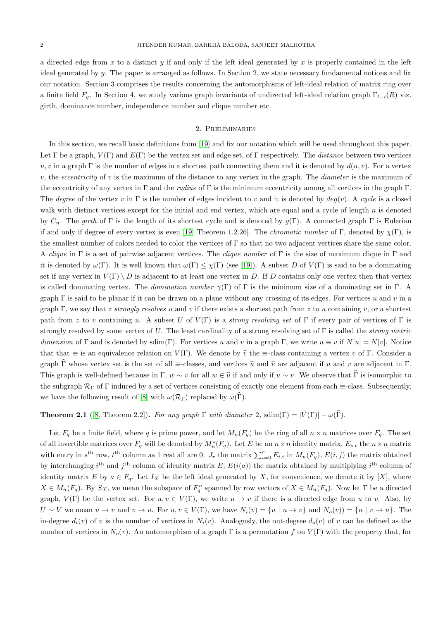a directed edge from x to a distinct y if and only if the left ideal generated by x is properly contained in the left ideal generated by y. The paper is arranged as follows. In Section 2, we state necessary fundamental notions and fix our notation. Section 3 comprises the results concerning the automorphisms of left-ideal relation of matrix ring over a finite field  $F_q$ . In Section 4, we study various graph invariants of undirected left-ideal relation graph  $\Gamma_{l-i}(R)$  viz. girth, dominance number, independence number and clique number etc.

#### 2. Preliminaries

In this section, we recall basic definitions from [\[19\]](#page-10-21) and fix our notation which will be used throughout this paper. Let  $\Gamma$  be a graph,  $V(\Gamma)$  and  $E(\Gamma)$  be the vertex set and edge set, of  $\Gamma$  respectively. The *distance* between two vertices u, v in a graph  $\Gamma$  is the number of edges in a shortest path connecting them and it is denoted by  $d(u, v)$ . For a vertex v, the *eccentricity* of v is the maximum of the distance to any vertex in the graph. The *diameter* is the maximum of the eccentricity of any vertex in Γ and the *radius* of Γ is the minimum eccentricity among all vertices in the graph Γ. The *degree* of the vertex v in  $\Gamma$  is the number of edges incident to v and it is denoted by  $deg(v)$ . A *cycle* is a closed walk with distinct vertices except for the initial and end vertex, which are equal and a cycle of length  $n$  is denoted by  $C_n$ . The *girth* of Γ is the length of its shortest cycle and is denoted by  $g(\Gamma)$ . A connected graph Γ is Eulerian if and only if degree of every vertex is even [\[19,](#page-10-21) Theorem 1.2.26]. The *chromatic number* of Γ, denoted by  $\chi(\Gamma)$ , is the smallest number of colors needed to color the vertices of Γ so that no two adjacent vertices share the same color. A *clique* in Γ is a set of pairwise adjacent vertices. The *clique number* of Γ is the size of maximum clique in Γ and it is denoted by  $\omega(\Gamma)$ . It is well known that  $\omega(\Gamma) \leq \chi(\Gamma)$  (see [\[19\]](#page-10-21)). A subset D of  $V(\Gamma)$  is said to be a dominating set if any vertex in  $V(\Gamma) \setminus D$  is adjacent to at least one vertex in D. If D contains only one vertex then that vertex is called dominating vertex. The *domination number*  $\gamma(\Gamma)$  of  $\Gamma$  is the minimum size of a dominating set in  $\Gamma$ . A graph  $\Gamma$  is said to be planar if it can be drawn on a plane without any crossing of its edges. For vertices u and v in a graph Γ, we say that z *strongly resolves* u and v if there exists a shortest path from z to u containing v, or a shortest path from z to v containing u. A subset U of  $V(\Gamma)$  is a *strong resolving set* of  $\Gamma$  if every pair of vertices of  $\Gamma$  is strongly resolved by some vertex of U. The least cardinality of a strong resolving set of Γ is called the *strong metric dimension* of Γ and is denoted by sdim(Γ). For vertices u and v in a graph Γ, we write  $u \equiv v$  if  $N[u] = N[v]$ . Notice that that  $\equiv$  is an equivalence relation on  $V(\Gamma)$ . We denote by  $\hat{v}$  the  $\equiv$ -class containing a vertex v of  $\Gamma$ . Consider a graph  $\overline{\Gamma}$  whose vertex set is the set of all  $\equiv$ -classes, and vertices  $\hat{u}$  and  $\hat{v}$  are adjacent if u and v are adjacent in  $\Gamma$ . This graph is well-defined because in Γ,  $w \sim v$  for all  $w \in \hat{u}$  if and only if  $u \sim v$ . We observe that Γ is isomorphic to the subgraph  $\mathcal{R}_{\Gamma}$  of Γ induced by a set of vertices consisting of exactly one element from each  $\equiv$ -class. Subsequently, we have the following result of [\[8\]](#page-10-22) with  $\omega(\mathcal{R}_{\Gamma})$  replaced by  $\omega(\Gamma)$ .

<span id="page-1-0"></span>**Theorem 2.1** ([\[8,](#page-10-22) Theorem 2.2]). *For any graph*  $\Gamma$  *with diameter* 2, sdim( $\Gamma$ ) =  $|V(\Gamma)| - \omega(\widehat{\Gamma})$ .

Let  $F_q$  be a finite field, where q is prime power, and let  $M_n(F_q)$  be the ring of all  $n \times n$  matrices over  $F_q$ . The set of all invertible matrices over  $F_q$  will be denoted by  $M_n^*(F_q)$ . Let E be an  $n \times n$  identity matrix,  $E_{s,t}$  the  $n \times n$  matrix with entry in  $s^{\text{th}}$  row,  $t^{\text{th}}$  column as 1 rest all are 0.  $J_r$  the matrix  $\sum_{i=0}^r E_{i,i}$  in  $M_n(F_q)$ ,  $E(i,j)$  the matrix obtained by interchanging  $i^{\text{th}}$  and  $j^{\text{th}}$  column of identity matrix E,  $E(i(a))$  the matrix obtained by multiplying  $i^{\text{th}}$  column of identity matrix E by  $a \in F_q$ . Let  $I_X$  be the left ideal generated by X, for convenience, we denote it by [X], where  $X \in M_n(F_q)$ . By  $S_X$ , we mean the subspace of  $F_q^n$  spanned by row vectors of  $X \in M_n(F_q)$ . Now let  $\Gamma$  be a directed graph,  $V(\Gamma)$  be the vertex set. For  $u, v \in V(\Gamma)$ , we write  $u \to v$  if there is a directed edge from u to v. Also, by  $U \sim V$  we mean  $u \to v$  and  $v \to u$ . For  $u, v \in V(\Gamma)$ , we have  $N_i(v) = \{u \mid u \to v\}$  and  $N_o(v) = \{u \mid v \to u\}$ . The in-degree  $d_i(v)$  of v is the number of vertices in  $N_i(v)$ . Analogusly, the out-degree  $d_o(v)$  of v can be defined as the number of vertices in  $N_o(v)$ . An automorphism of a graph  $\Gamma$  is a permutation f on  $V(\Gamma)$  with the property that, for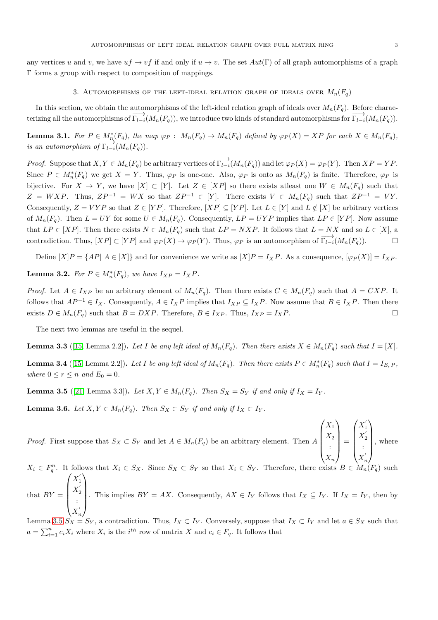any vertices u and v, we have  $uf \to vf$  if and only if  $u \to v$ . The set  $Aut(\Gamma)$  of all graph automorphisms of a graph Γ forms a group with respect to composition of mappings.

### 3. AUTOMORPHISMS OF THE LEFT-IDEAL RELATION GRAPH OF IDEALS OVER  $M_n(F_q)$

In this section, we obtain the automorphisms of the left-ideal relation graph of ideals over  $M_n(F_q)$ . Before characterizing all the automorphisms of  $\overrightarrow{\Gamma_{l-i}}(M_n(F_q))$ , we introduce two kinds of standard automorphisms for  $\overrightarrow{\Gamma_{l-i}}(M_n(F_q))$ .

<span id="page-2-2"></span>**Lemma 3.1.** For  $P \in M_n^*(F_q)$ , the map  $\varphi_P : M_n(F_q) \to M_n(F_q)$  defined by  $\varphi_P(X) = XP$  for each  $X \in M_n(F_q)$ , *is an automorphism of*  $\overrightarrow{\Gamma_{l-i}}(M_n(F_q))$ .

*Proof.* Suppose that  $X, Y \in M_n(F_q)$  be arbitrary vertices of  $\overrightarrow{\Gamma_{l-i}}(M_n(F_q))$  and let  $\varphi_P(X) = \varphi_P(Y)$ . Then  $XP = YP$ . Since  $P \in M_n^*(F_q)$  we get  $X = Y$ . Thus,  $\varphi_P$  is one-one. Also,  $\varphi_P$  is onto as  $M_n(F_q)$  is finite. Therefore,  $\varphi_P$  is bijective. For  $X \to Y$ , we have  $[X] \subset [Y]$ . Let  $Z \in [XP]$  so there exists at least one  $W \in M_n(F_q)$  such that  $Z = WXP$ . Thus,  $ZP^{-1} = WX$  so that  $ZP^{-1} \in [Y]$ . There exists  $V \in M_n(F_q)$  such that  $ZP^{-1} = VY$ . Consequently,  $Z = VYP$  so that  $Z \in [YP]$ . Therefore,  $[XP] \subseteq [YP]$ . Let  $L \in [Y]$  and  $L \notin [X]$  be arbitrary vertices of  $M_n(F_q)$ . Then  $L = UY$  for some  $U \in M_n(F_q)$ . Consequently,  $LP = UYP$  implies that  $LP \in [YP]$ . Now assume that  $LP \in [XP]$ . Then there exists  $N \in M_n(F_q)$  such that  $LP = NXP$ . It follows that  $L = NX$  and so  $L \in [X]$ , a contradiction. Thus,  $[XP] \subset [YP]$  and  $\varphi_P(X) \to \varphi_P(Y)$ . Thus,  $\varphi_P$  is an automorphism of  $\overrightarrow{\Gamma_{l-i}}(M_n(F_q))$ .

Define  $[X]P = \{AP | A \in [X]\}$  and for convenience we write as  $[X]P = I_XP$ . As a consequence,  $[\varphi_P(X)] = I_{XP}$ .

**Lemma 3.2.** For  $P \in M_n^*(F_q)$ , we have  $I_{XP} = I_X P$ .

*Proof.* Let  $A \in I_{XP}$  be an arbitrary element of  $M_n(F_q)$ . Then there exists  $C \in M_n(F_q)$  such that  $A = CXP$ . It follows that  $AP^{-1} \in I_X$ . Consequently,  $A \in I_X P$  implies that  $I_{XP} \subseteq I_X P$ . Now assume that  $B \in I_X P$ . Then there exists  $D \in M_n(F_q)$  such that  $B = DXP$ . Therefore,  $B \in I_{XP}$ . Thus,  $I_{XP} = I_XP$ .

The next two lemmas are useful in the sequel.

<span id="page-2-1"></span>**Lemma 3.3** ([\[15,](#page-10-20) Lemma 2.2]). Let I be any left ideal of  $M_n(F_q)$ . Then there exists  $X \in M_n(F_q)$  such that  $I = [X]$ .

<span id="page-2-3"></span>**Lemma 3.4** ([\[15,](#page-10-20) Lemma 2.2]). Let I be any left ideal of  $M_n(F_q)$ . Then there exists  $P \in M_n^*(F_q)$  such that  $I = I_{E_rP}$ , *where*  $0 \le r \le n$  *and*  $E_0 = 0$ *.* 

<span id="page-2-0"></span>**Lemma 3.5** ([\[21,](#page-10-17) Lemma 3.3]). Let  $X, Y \in M_n(F_q)$ . Then  $S_X = S_Y$  if and only if  $I_X = I_Y$ .

**Lemma 3.6.** *Let*  $X, Y \in M_n(F_q)$ *. Then*  $S_X \subset S_Y$  *if and only if*  $I_X \subset I_Y$ *.* 

*Proof.* First suppose that  $S_X \subset S_Y$  and let  $A \in M_n(F_q)$  be an arbitrary element. Then A  $\sqrt{ }$  $\overline{\phantom{a}}$  $X_1$  $X_2$ :  $X_n$  $\setminus$  $\overline{\phantom{a}}$ =  $\sqrt{ }$  $\overline{\phantom{a}}$  $X_1^{'}$ ′  $X_{2}^{'}$ 2 :  $X_{r}^{'}$ n  $\setminus$  $\begin{array}{c} \hline \end{array}$ , where

 $X_i \in F_q^n$ . It follows that  $X_i \in S_X$ . Since  $S_X \subset S_Y$  so that  $X_i \in S_Y$ . Therefore, there exists  $B \in M_n(F_q)$  such that  $BY =$  $\sqrt{ }$  $\overline{\phantom{a}}$  $X_1^{'}$ 1  $X_{2}^{'}$ 2 :  $X_{r}^{'}$  $\setminus$  $\begin{array}{c} \hline \end{array}$ . This implies  $BY = AX$ . Consequently,  $AX \in I_Y$  follows that  $I_X \subseteq I_Y$ . If  $I_X = I_Y$ , then by

n Lemma [3.5](#page-2-0)  $S_X = S_Y$ , a contradiction. Thus,  $I_X \subset I_Y$ . Conversely, suppose that  $I_X \subset I_Y$  and let  $a \in S_X$  such that  $a = \sum_{i=1}^{n} c_i X_i$  where  $X_i$  is the  $i^{th}$  row of matrix X and  $c_i \in F_q$ . It follows that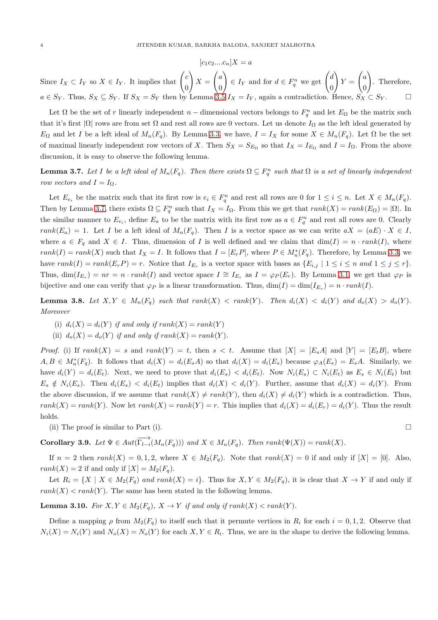$$
[c_1c_2....c_n]X = a
$$

Since  $I_X \subset I_Y$  so  $X \in I_Y$ . It implies that  $\begin{pmatrix} c \\ c \end{pmatrix}$ 0 !  $X =$  $\int_a$ 0 !  $\in I_Y$  and for  $d \in F_q^n$  we get  $\begin{pmatrix} d \\ 0 \end{pmatrix}$ 0  $\Delta$  $Y =$  $\int_a$ 0  $\setminus$ . Therefore,  $a \in S_Y$ . Thus,  $S_X \subseteq S_Y$ . If  $S_X = S_Y$  then by Lemma [3.5](#page-2-0)  $I_X = I_Y$ , again a contradiction. Hence,  $S_X \subseteq S_Y$ .

Let  $\Omega$  be the set of r linearly independent n – dimensional vectors belongs to  $F_q^n$  and let  $E_\Omega$  be the matrix such that it's first  $|\Omega|$  rows are from set  $\Omega$  and rest all rows are 0 vectors. Let us denote  $I_{\Omega}$  as the left ideal generated by  $E_{\Omega}$  and let I be a left ideal of  $M_n(F_q)$ . By Lemma [3.3,](#page-2-1) we have,  $I = I_X$  for some  $X \in M_n(F_q)$ . Let  $\Omega$  be the set of maximal linearly independent row vectors of X. Then  $S_X = S_{E_\Omega}$  so that  $I_X = I_{E_\Omega}$  and  $I = I_\Omega$ . From the above discussion, it is easy to observe the following lemma.

<span id="page-3-0"></span>**Lemma 3.7.** Let I be a left ideal of  $M_n(F_q)$ . Then there exists  $\Omega \subseteq F_q^n$  such that  $\Omega$  is a set of linearly independent *row vectors and*  $I = I_{\Omega}$ *.* 

Let  $E_{e_i}$  be the matrix such that its first row is  $e_i \in F_q^n$  and rest all rows are 0 for  $1 \leq i \leq n$ . Let  $X \in M_n(F_q)$ . Then by Lemma [3.7,](#page-3-0) there exists  $\Omega \subseteq F_q^n$  such that  $I_X = I_{\Omega}$ . From this we get that  $rank(X) = rank(E_{\Omega}) = |\Omega|$ . In the similar manner to  $E_{e_i}$ , define  $E_a$  to be the matrix with its first row as  $a \in F_q^n$  and rest all rows are 0. Clearly rank $(E_a) = 1$ . Let I be a left ideal of  $M_n(F_q)$ . Then I is a vector space as we can write  $aX = (aE) \cdot X \in I$ , where  $a \in F_q$  and  $X \in I$ . Thus, dimension of I is well defined and we claim that  $\dim(I) = n \cdot rank(I)$ , where  $rank(I) = rank(X)$  such that  $I_X = I$ . It follows that  $I = [E_r P]$ , where  $P \in M_n^*(F_q)$ . Therefore, by Lemma [3.3,](#page-2-1) we have  $rank(I) = rank(E_r P) = r$ . Notice that  $I_{E_r}$  is a vector space with bases as  $\{E_{i,j} \mid 1 \leq i \leq n \text{ and } 1 \leq j \leq r\}$ . Thus,  $\dim(I_{E_r}) = nr = n \cdot rank(I)$  and vector space  $I \cong I_{E_r}$  as  $I = \varphi_P(E_r)$ . By Lemma [3.1,](#page-2-2) we get that  $\varphi_P$  is bijective and one can verify that  $\varphi_P$  is a linear transformation. Thus,  $\dim(I) = \dim(I_{E_r}) = n \cdot rank(I)$ .

**Lemma 3.8.** Let  $X, Y \in M_n(F_q)$  such that  $rank(X) < rank(Y)$ . Then  $d_i(X) < d_i(Y)$  and  $d_o(X) > d_o(Y)$ . *Moreover*

- (i)  $d_i(X) = d_i(Y)$  *if and only if rank* $(X) = rank(Y)$
- (ii)  $d_o(X) = d_o(Y)$  *if and only if rank* $(X) = rank(Y)$ *.*

*Proof.* (i) If  $rank(X) = s$  and  $rank(Y) = t$ , then  $s < t$ . Assume that  $[X] = [E_s A]$  and  $[Y] = [E_t B]$ , where  $A, B \in M_n^*(F_q)$ . It follows that  $d_i(X) = d_i(E_s A)$  so that  $d_i(X) = d_i(E_s)$  because  $\varphi_A(E_s) = E_s A$ . Similarly, we have  $d_i(Y) = d_i(E_t)$ . Next, we need to prove that  $d_i(E_s) < d_i(E_t)$ . Now  $N_i(E_s) \subset N_i(E_t)$  as  $E_s \in N_i(E_t)$  but  $E_s \notin N_i(E_s)$ . Then  $d_i(E_s) < d_i(E_t)$  implies that  $d_i(X) < d_i(Y)$ . Further, assume that  $d_i(X) = d_i(Y)$ . From the above discussion, if we assume that  $rank(X) \neq rank(Y)$ , then  $d_i(X) \neq d_i(Y)$  which is a contradiction. Thus,  $rank(X) = rank(Y)$ . Now let  $rank(X) = rank(Y) = r$ . This implies that  $d_i(X) = d_i(E_r) = d_i(Y)$ . Thus the result holds.

(ii) The proof is similar to Part (i).

<span id="page-3-2"></span>**Corollary 3.9.** Let  $\Psi \in Aut(\overrightarrow{\Gamma_{l-i}}(M_n(F_q)))$  and  $X \in M_n(F_q)$ . Then  $rank(\Psi(X)) = rank(X)$ .

If  $n = 2$  then  $rank(X) = 0, 1, 2$ , where  $X \in M_2(F_n)$ . Note that  $rank(X) = 0$  if and only if  $[X] = [0]$ . Also,  $rank(X) = 2$  if and only if  $[X] = M_2(F_q)$ .

Let  $R_i = \{X \mid X \in M_2(F_q) \text{ and } rank(X) = i\}.$  Thus for  $X, Y \in M_2(F_q)$ , it is clear that  $X \to Y$  if and only if  $rank(X) < rank(Y)$ . The same has been stated in the following lemma.

<span id="page-3-1"></span>**Lemma 3.10.** *For*  $X, Y \in M_2(F_q)$ ,  $X \to Y$  *if and only if*  $rank(X) < rank(Y)$ *.* 

Define a mapping  $\rho$  from  $M_2(F_q)$  to itself such that it permute vertices in  $R_i$  for each  $i = 0, 1, 2$ . Observe that  $N_i(X) = N_i(Y)$  and  $N_o(X) = N_o(Y)$  for each  $X, Y \in R_i$ . Thus, we are in the shape to derive the following lemma.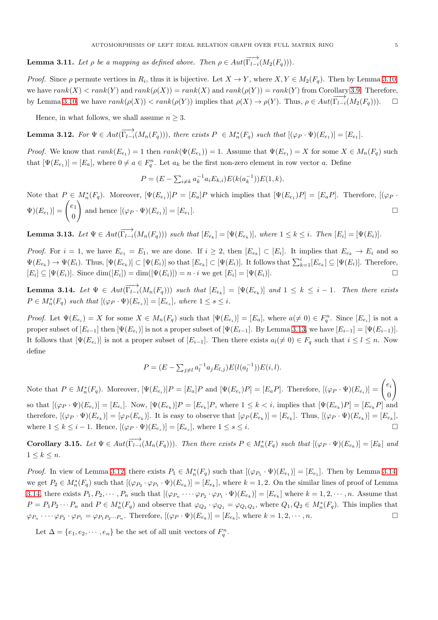<span id="page-4-4"></span>**Lemma 3.11.** Let  $\rho$  be a mapping as defined above. Then  $\rho \in Aut(\overrightarrow{\Gamma_{l-i}}(M_2(F_q)))$ .

*Proof.* Since  $\rho$  permute vertices in  $R_i$ , thus it is bijective. Let  $X \to Y$ , where  $X, Y \in M_2(F_q)$ . Then by Lemma [3.10,](#page-3-1) we have  $rank(X) < rank(Y)$  and  $rank(\rho(X)) = rank(X)$  and  $rank(\rho(Y)) = rank(Y)$  from Corollary [3.9.](#page-3-2) Therefore, by Lemma [3.10,](#page-3-1) we have  $rank(\rho(X)) < rank(\rho(Y))$  implies that  $\rho(X) \to \rho(Y)$ . Thus,  $\rho \in Aut(\overrightarrow{\Gamma_{l-i}}(M_2(F_q)))$ .  $\Box$ 

Hence, in what follows, we shall assume  $n \geq 3$ .

<span id="page-4-1"></span>Lemma 3.12. For  $\Psi \in Aut(\overrightarrow{\Gamma_{l-i}}(M_n(F_q))),$  there exists  $P \in M_n^*(F_q)$  such that  $[(\varphi_P \cdot \Psi)(E_{e_1})] = [E_{e_1}].$ 

*Proof.* We know that  $rank(E_{e_1}) = 1$  then  $rank(\Psi(E_{e_1})) = 1$ . Assume that  $\Psi(E_{e_1}) = X$  for some  $X \in M_n(F_q)$  such that  $[\Psi(E_{e_1})] = [E_a]$ , where  $0 \neq a \in F_q^n$ . Let  $a_k$  be the first non-zero element in row vector a. Define

$$
P = (E - \sum_{i \neq k} a_k^{-1} a_i E_{k,i}) E(k(a_k^{-1})) E(1,k).
$$

Note that  $P \in M_n^*(F_q)$ . Moreover,  $[\Psi(E_{e_1})]P = [E_a]P$  which implies that  $[\Psi(E_{e_1})P] = [E_aP]$ . Therefore,  $[(\varphi_P \cdot \varphi_P)]$  $\Psi)(E_{e_1}) = \begin{pmatrix} e_1 \\ 0 \end{pmatrix}$ 0 ! and hence  $[(\varphi_P \cdot \Psi)(E_{e_1})] = [E_{e_1}]$ ].

<span id="page-4-0"></span>**Lemma 3.13.** Let  $\Psi \in Aut(\overrightarrow{\Gamma_{l-i}}(M_n(F_q)))$  such that  $[E_{e_k}] = [\Psi(E_{e_k})]$ , where  $1 \leq k \leq i$ . Then  $[E_i] = [\Psi(E_i)]$ .

*Proof.* For  $i = 1$ , we have  $E_{e_1} = E_1$ , we are done. If  $i \geq 2$ , then  $[E_{e_k}] \subset [E_i]$ . It implies that  $E_{e_k} \to E_i$  and so  $\Psi(E_{e_k}) \to \Psi(E_i)$ . Thus,  $[\Psi(E_{e_k})] \subset [\Psi(E_i)]$  so that  $[E_{e_k}] \subset [\Psi(E_i)]$ . It follows that  $\sum_{k=1}^{i} [E_{e_k}] \subseteq [\Psi(E_i)]$ . Therefore,  $[E_i] \subseteq [\Psi(E_i)]$ . Since  $\dim([E_i]) = \dim([\Psi(E_i)]) = n \cdot i$  we get  $[E_i] = [\Psi(E_i)]$ .

<span id="page-4-2"></span>**Lemma 3.14.** Let  $\Psi \in Aut(\overrightarrow{\Gamma_{l-i}}(M_n(F_q)))$  such that  $[E_{e_k}] = [\Psi(E_{e_k})]$  and  $1 \leq k \leq i-1$ . Then there exists  $P \in M_n^*(F_q)$  such that  $[(\varphi_P \cdot \Psi)(E_{e_s})] = [E_{e_s}],$  where  $1 \leq s \leq i$ .

*Proof.* Let  $\Psi(E_{e_i}) = X$  for some  $X \in M_n(F_q)$  such that  $[\Psi(E_{e_i})] = [E_a]$ , where  $a \neq 0 \in F_q^n$ . Since  $[E_{e_i}]$  is not a proper subset of  $[E_{i-1}]$  then  $[\Psi(E_{e_i})]$  is not a proper subset of  $[\Psi(E_{i-1}].$  By Lemma [3.13,](#page-4-0) we have  $[E_{i-1}] = [\Psi(E_{i-1})]$ . It follows that  $[\Psi(E_{e_i})]$  is not a proper subset of  $[E_{i-1}]$ . Then there exists  $a_i (\neq 0) \in F_q$  such that  $i \leq l \leq n$ . Now define

$$
P = (E - \sum_{j \neq l} a_l^{-1} a_j E_{l,j}) E(l(a_l^{-1})) E(i, l).
$$

Note that  $P \in M_n^*(F_q)$ . Moreover,  $[\Psi(E_{e_i})]P = [E_a]P$  and  $[\Psi(E_{e_i})P] = [E_aP]$ . Therefore,  $[(\varphi_P \cdot \Psi)(E_{e_i})] = \begin{pmatrix} e_i & \cdots & \vdots \\ 0 & \cdots & \vdots \\ 0 & \cdots & \cdots & \vdots \\ 0 & \cdots & \cdots & \cdots \end{pmatrix}$  $\theta$  $\setminus$ so that  $[(\varphi_P \cdot \Psi)(E_{e_i})] = [E_{e_i}]$ . Now,  $[\Psi(E_{e_k})]P = [E_{e_k}]P$ , where  $1 \leq k \leq i$ , implies that  $[\Psi(E_{e_k})P] = [E_{e_k}P]$  and therefore,  $[(\varphi_P \cdot \Psi)(E_{e_k})] = [\varphi_P(E_{e_k})]$ . It is easy to observe that  $[\varphi_P(E_{e_k})] = [E_{e_k}]$ . Thus,  $[(\varphi_P \cdot \Psi)(E_{e_k})] = [E_{e_k}]$ , where  $1 \leq k \leq i-1$ . Hence,  $[(\varphi_P \cdot \Psi)(E_{e_s})] = [E_{e_s}]$ , where  $1 \leq s \leq i$ .

<span id="page-4-3"></span>**Corollary 3.15.** Let  $\Psi \in Aut(\overrightarrow{\Gamma_{l-i}}(M_n(F_q)))$ . Then there exists  $P \in M_n^*(F_q)$  such that  $[(\varphi_P \cdot \Psi)(E_{e_k})] = [E_k]$  and  $1 \leq k \leq n$ .

*Proof.* In view of Lemma [3.12,](#page-4-1) there exists  $P_1 \in M_n^*(F_q)$  such that  $[(\varphi_{P_1} \cdot \Psi)(E_{e_1})] = [E_{e_1}]$ . Then by Lemma [3.14,](#page-4-2) we get  $P_2 \in M_n^*(F_q)$  such that  $[(\varphi_{P_2} \cdot \varphi_{P_1} \cdot \Psi)(E_{e_k})] = [E_{e_k}]$ , where  $k = 1, 2$ . On the similar lines of proof of Lemma [3.14,](#page-4-2) there exists  $P_1, P_2, \cdots, P_n$  such that  $[(\varphi_{P_n} \cdots \varphi_{P_2} \cdot \varphi_{P_1} \cdot \Psi)(E_{e_k})] = [E_{e_k}]$  where  $k = 1, 2, \cdots, n$ . Assume that  $P = P_1 P_2 \cdots P_n$  and  $P \in M_n^*(F_q)$  and observe that  $\varphi_{Q_2} \cdot \varphi_{Q_1} = \varphi_{Q_1 Q_2}$ , where  $Q_1, Q_2 \in M_n^*(F_q)$ . This implies that  $\varphi_{P_n} \cdots \varphi_{P_2} \cdot \varphi_{P_1} = \varphi_{P_1 P_2 \cdots P_n}$ . Therefore,  $[(\varphi_P \cdot \Psi)(E_{e_k})] = [E_{e_k}]$ , where  $k = 1, 2, \cdots, n$ .

Let  $\Delta = \{e_1, e_2, \dots, e_n\}$  be the set of all unit vectors of  $F_q^n$ .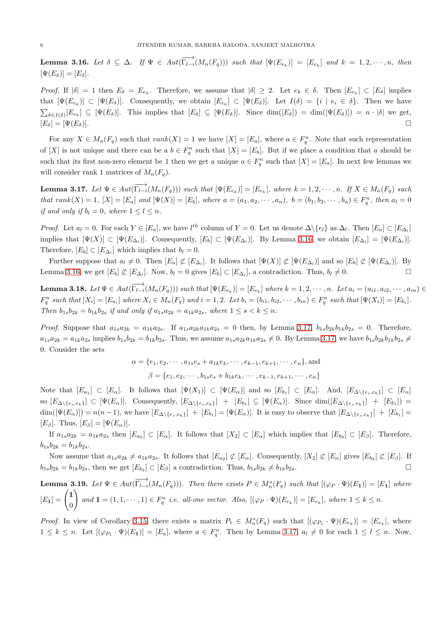<span id="page-5-0"></span>**Lemma 3.16.** Let  $\delta \subseteq \Delta$ . If  $\Psi \in Aut(\overrightarrow{\Gamma_{l-i}}(M_n(F_q)))$  such that  $[\Psi(E_{e_k})] = [E_{e_k}]$  and  $k = 1, 2, \dots, n$ , then  $[\Psi(E_{\delta})] = [E_{\delta}].$ 

*Proof.* If  $|\delta| = 1$  then  $E_{\delta} = E_{e_k}$ . Therefore, we assume that  $|\delta| \geq 2$ . Let  $e_k \in \delta$ . Then  $[E_{e_k}] \subset [E_{\delta}]$  implies that  $[\Psi(E_{e_k})] \subset [\Psi(E_{\delta})]$ . Consequently, we obtain  $[E_{e_k}] \subset [\Psi(E_{\delta})]$ . Let  $I(\delta) = \{i \mid e_i \in \delta\}$ . Then we have  $\sum_{k\in I(\delta)} [E_{e_k}] \subseteq [\Psi(E_{\delta})]$ . This implies that  $[E_{\delta}] \subseteq [\Psi(E_{\delta})]$ . Since  $\dim([E_{\delta}]) = \dim([\Psi(E_{\delta})]) = n \cdot |\delta|$  we get,  $[E_{\delta}] = [\Psi(E_{\delta})].$ 

For any  $X \in M_n(F_q)$  such that  $rank(X) = 1$  we have  $[X] = [E_q]$ , where  $a \in F_q^n$ . Note that such representation of [X] is not unique and there can be a  $b \in F_q^n$  such that  $[X] = [E_b]$ . But if we place a condition that a should be such that its first non-zero element be 1 then we get a unique  $a \in F_q^n$  such that  $[X] = [E_a]$ . In next few lemmas we will consider rank 1 matrices of  $M_n(F_q)$ .

<span id="page-5-1"></span>**Lemma 3.17.** Let  $\Psi \in Aut(\overrightarrow{\Gamma_{l-i}}(M_n(F_q)))$  such that  $[\Psi(E_{e_k})] = [E_{e_k}]$ , where  $k = 1, 2, \dots, n$ . If  $X \in M_n(F_q)$  such *that*  $rank(X) = 1$ ,  $[X] = [E_a]$  and  $[\Psi(X)] = [E_b]$ , where  $a = (a_1, a_2, \dots, a_n)$ ,  $b = (b_1, b_2, \dots, b_n) \in F_q^n$ , then  $a_l = 0$ *if and only if*  $b_l = 0$ *, where*  $1 \leq l \leq n$ *.* 

*Proof.* Let  $a_l = 0$ . For each  $Y \in [E_a]$ , we have  $l^{th}$  column of  $Y = 0$ . Let us denote  $\Delta \setminus \{e_l\}$  as  $\Delta_l$ . Then  $[E_a] \subset [E_{\Delta_l}]$ implies that  $[\Psi(X)] \subset [\Psi(E_{\Delta_i})]$ . Consequently,  $[E_b] \subset [\Psi(E_{\Delta_i})]$ . By Lemma [3.16,](#page-5-0) we obtain  $[E_{\Delta_i}] = [\Psi(E_{\Delta_i})]$ . Therefore,  $[E_b] \subset [E_{\Delta_l}]$  which implies that  $b_l = 0$ .

Further suppose that  $a_l \neq 0$ . Then  $[E_a] \not\subset [E_{\Delta_l}]$ . It follows that  $[\Psi(X)] \not\subset [\Psi(E_{\Delta_l})]$  and so  $[E_b] \not\subset [\Psi(E_{\Delta_l})]$ . By Lemma [3.16,](#page-5-0) we get  $[E_b] \not\subset [E_{\Delta_l}]$ . Now,  $b_l = 0$  gives  $[E_b] \subset [E_{\Delta_l}]$ , a contradiction. Thus,  $b_l \neq 0$ .

<span id="page-5-2"></span>**Lemma 3.18.** Let  $\Psi \in Aut(\overrightarrow{\Gamma_{l-i}}(M_n(F_q)))$  such that  $[\Psi(E_{e_k})] = [E_{e_k}]$  where  $k = 1, 2, \dots, n$ . Let  $a_i = (a_{i1}, a_{i2}, \dots, a_{in}) \in$  $F_q^n$  such that  $[X_i] = [E_{a_i}]$  where  $X_i \in M_n(F_q)$  and  $i = 1, 2$ . Let  $b_i = (b_{i1}, b_{i2}, \dots, b_{in}) \in F_q^n$  such that  $[\Psi(X_i)] = [E_{b_i}]$ . *Then*  $b_{1s}b_{2k} = b_{1k}b_{2s}$  *if and only if*  $a_{1s}a_{2k} = a_{1k}a_{2s}$ *, where*  $1 \leq s \leq k \leq n$ *.* 

*Proof.* Suppose that  $a_{1s}a_{2k} = a_{1k}a_{2s}$ . If  $a_{1s}a_{2k}a_{1k}a_{2s} = 0$  then, by Lemma [3.17,](#page-5-1)  $b_{1s}b_{2k}b_{1k}b_{2s} = 0$ . Therefore,  $a_{1s}a_{2k} = a_{1k}a_{2s}$  implies  $b_{1s}b_{2k} = b_{1k}b_{2s}$ . Thus, we assume  $a_{1s}a_{2k}a_{1k}a_{2s} \neq 0$ . By Lemma [3.17,](#page-5-1) we have  $b_{1s}b_{2k}b_{1k}b_{2s} \neq 0$ 0. Consider the sets

$$
\alpha = \{e_1, e_2, \cdots, a_{1s}e_s + a_{1k}e_k, \cdots, e_{k-1}, e_{k+1}, \cdots, e_n\}, \text{and}
$$
  

$$
\beta = \{e_1, e_2, \cdots, b_{1s}e_s + b_{1k}e_k, \cdots, e_{k-1}, e_{k+1}, \cdots, e_n\}
$$

Note that  $[E_{a_1}] \subset [E_{\alpha}]$ . It follows that  $[\Psi(X_1)] \subset [\Psi(E_{\alpha})]$  and so  $[E_{b_1}] \subset [E_{\alpha}]$ . And,  $[E_{\Delta \setminus \{e_s, e_k\}}] \subset [E_{\alpha}]$ so  $[E_{\Delta \setminus \{e_s,e_k\}}] \subset [\Psi(E_{\alpha})]$ . Consequently,  $[E_{\Delta \setminus \{e_s,e_k\}}] + [E_{b_1}] \subseteq [\Psi(E_{\alpha})]$ . Since  $\dim([E_{\Delta \setminus \{e_s,e_k\}}] + [E_{b_1}]) =$  $\dim([\Psi(E_{\alpha})]) = n(n-1)$ , we have  $[E_{\Delta \setminus \{e_s,e_k\}}] + [E_{b_1}] = [\Psi(E_{\alpha})]$ . It is easy to observe that  $[E_{\Delta \setminus \{e_s,e_k\}}] + [E_{b_1}] =$  $[E_{\beta}]$ . Thus,  $[E_{\beta}] = [\Psi(E_{\alpha})]$ .

If  $a_{1s}a_{2k} = a_{1k}a_{2s}$  then  $[E_{a_2}] \subset [E_{\alpha}]$ . It follows that  $[X_2] \subset [E_{\alpha}]$  which implies that  $[E_{b_2}] \subset [E_{\beta}]$ . Therefore,  $b_{1s}b_{2k} = b_{1k}b_{2s}.$ 

Now assume that  $a_{1s}a_{2k} \neq a_{1k}a_{2s}$ . It follows that  $[E_{a_2}] \not\subset [E_{\alpha}]$ . Consequently,  $[X_2] \not\subset [E_{\alpha}]$  gives  $[E_{b_2}] \not\subset [E_{\beta}]$ . If  $b_{1s}b_{2k} = b_{1k}b_{2s}$ , then we get  $[E_{b_2}] \subset [E_{\beta}]$  a contradiction. Thus,  $b_{1s}b_{2k} \neq b_{1k}b_{2s}$ .

**Lemma 3.19.** Let 
$$
\Psi \in Aut(\overrightarrow{\Gamma_{l-i}}(M_n(F_q)))
$$
. Then there exists  $P \in M_n^*(F_q)$  such that  $[(\varphi_P \cdot \Psi)(E_1)] = [E_1]$  where  $[E_1] = \begin{pmatrix} 1 \\ 0 \end{pmatrix}$  and  $1 = (1, 1, \dots, 1) \in F_q^n$  i.e. all-one vector. Also,  $[(\varphi_P \cdot \Psi)(E_{e_k})] = [E_{e_k}]$ , where  $1 \le k \le n$ .

*Proof.* In view of Corollary [3.15,](#page-4-3) there exists a matrix  $P_1 \in M_n^*(F_q)$  such that  $[(\varphi_{P_1} \cdot \Psi)(E_{e_k})] = [E_{e_k}]$ , where  $1 \leq k \leq n$ . Let  $[(\varphi_{P_1} \cdot \Psi)(E_1)] = [E_a]$ , where  $a \in F_q^n$ . Then by Lemma [3.17,](#page-5-1)  $a_l \neq 0$  for each  $1 \leq l \leq n$ . Now,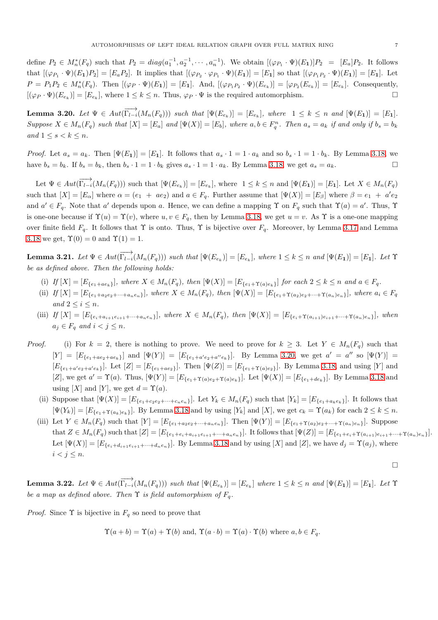define  $P_2 \in M_n^*(F_q)$  such that  $P_2 = diag(a_1^{-1}, a_2^{-1}, \cdots, a_n^{-1})$ . We obtain  $[(\varphi_{P_1} \cdot \Psi)(E_1)]P_2 = [E_a]P_2$ . It follows that  $[(\varphi_{P_1} \cdot \Psi)(E_1)P_2] = [E_a P_2]$ . It implies that  $[(\varphi_{P_2} \cdot \varphi_{P_1} \cdot \Psi)(E_1)] = [E_1]$  so that  $[(\varphi_{P_1 P_2} \cdot \Psi)(E_1)] = [E_1]$ . Let  $P = P_1 P_2 \in M_n^*(F_q)$ . Then  $[(\varphi_P \cdot \Psi)(E_1)] = [E_1]$ . And,  $[(\varphi_{P_1 P_2} \cdot \Psi)(E_{e_k})] = [\varphi_{P_2}(E_{e_k})] = [E_{e_k}]$ . Consequently,  $[(\varphi_P \cdot \Psi)(E_{e_k})] = [E_{e_k}],$  where  $1 \leq k \leq n$ . Thus,  $\varphi_P \cdot \Psi$  is the required automorphism.

<span id="page-6-0"></span>Lemma 3.20. Let  $\Psi \in Aut(\overrightarrow{\Gamma_{l-i}}(M_n(F_q)))$  such that  $[\Psi(E_{e_k})] = [E_{e_k}]$ , where  $1 \leq k \leq n$  and  $[\Psi(E_1)] = [E_1]$ .  $Suppose X \in M_n(F_q) \text{ such that } [X] = [E_a] \text{ and } [\Psi(X)] = [E_b] \text{, where } a, b \in F_q^n \text{. Then } a_s = a_k \text{ if and only if } b_s = b_k$ *and*  $1 \leq s < k \leq n$ *.* 

*Proof.* Let  $a_s = a_k$ . Then  $[\Psi(E_1)] = [E_1]$ . It follows that  $a_s \cdot 1 = 1 \cdot a_k$  and so  $b_s \cdot 1 = 1 \cdot b_k$ . By Lemma [3.18,](#page-5-2) we have  $b_s = b_k$ . If  $b_s = b_k$ , then  $b_s \cdot 1 = 1 \cdot b_k$  gives  $a_s \cdot 1 = 1 \cdot a_k$ . By Lemma [3.18,](#page-5-2) we get  $a_s = a_k$ .

Let  $\Psi \in Aut(\overrightarrow{\Gamma_{l-i}}(M_n(F_q)))$  such that  $[\Psi(E_{e_k})] = [E_{e_k}]$ , where  $1 \leq k \leq n$  and  $[\Psi(E_1)] = [E_1]$ . Let  $X \in M_n(F_q)$ such that  $[X] = [E_{\alpha}]$  where  $\alpha = (e_1 + ae_2)$  and  $a \in F_q$ . Further assume that  $[\Psi(X)] = [E_{\beta}]$  where  $\beta = e_1 + a'e_2$ and  $a' \in F_q$ . Note that a' depends upon a. Hence, we can define a mapping  $\Upsilon$  on  $F_q$  such that  $\Upsilon(a) = a'$ . Thus,  $\Upsilon$ is one-one because if  $\Upsilon(u) = \Upsilon(v)$ , where  $u, v \in F_q$ , then by Lemma [3.18,](#page-5-2) we get  $u = v$ . As  $\Upsilon$  is a one-one mapping over finite field  $F_q$ . It follows that  $\Upsilon$  is onto. Thus,  $\Upsilon$  is bijective over  $F_q$ . Moreover, by Lemma [3.17](#page-5-1) and Lemma [3.18](#page-5-2) we get,  $\Upsilon(0) = 0$  and  $\Upsilon(1) = 1$ .

<span id="page-6-1"></span> $\textbf{Lemma 3.21.} \ \textit{Let} \ \Psi \in Aut(\overrightarrow{\Gamma_{l-i}}(M_n(F_q))) \ \textit{such that} \ [\Psi(E_{e_k})] = [E_{e_k}], \ \textit{where} \ 1 \leq k \leq n \ \textit{and} \ [\Psi(E_1)] = [E_1]. \ \textit{Let} \ \Upsilon$ *be as defined above. Then the following holds:*

- (i) If  $[X] = [E_{\{e_1 + ae_k\}}]$ *, where*  $X \in M_n(F_q)$ *, then*  $[\Psi(X)] = [E_{\{e_1 + \Upsilon(a)e_k\}}]$  *for each*  $2 \le k \le n$  *and*  $a \in F_q$ *.*
- (ii)  $If [X] = [E_{\{e_1 + a_2e_2 + \cdots + a_ne_n\}}], where X \in M_n(F_q), then \, [\Psi(X)] = [E_{\{e_1 + \Upsilon(a_2)e_2 + \cdots + \Upsilon(a_n)e_n\}}], where \, a_i \in F_q$ *and*  $2 \leq i \leq n$ *.*
- (iii)  $If [X] = [E_{\{e_i+a_{i+1}e_{i+1}+\cdots+a_ne_n\}}]$ *, where*  $X \in M_n(F_q)$ *, then*  $[\Psi(X)] = [E_{\{e_i+\Upsilon(a_{i+1})e_{i+1}+\cdots+\Upsilon(a_n)e_n\}}]$ *, when*  $a_j \in F_q$  and  $i < j \leq n$ .
- *Proof.* (i) For  $k = 2$ , there is nothing to prove. We need to prove for  $k \geq 3$ . Let  $Y \in M_n(F_q)$  such that  $[Y] = [E_{\{e_1 + ae_2 + ae_k\}}]$  and  $[\Psi(Y)] = [E_{\{e_1 + a'e_2 + a''e_k\}}]$ . By Lemma [3.20,](#page-6-0) we get  $a' = a''$  so  $[\Psi(Y)] =$  $[E_{\{e_1+a'e_2+a'e_k\}}]$ . Let  $[Z]=[E_{\{e_1+ae_2\}}]$ . Then  $[\Psi(Z)]=[E_{\{e_1+\Upsilon(a)e_2\}}]$ . By Lemma [3.18,](#page-5-2) and using [Y] and [Z], we get  $a' = \Upsilon(a)$ . Thus,  $[\Psi(Y)] = [E_{\{e_1 + \Upsilon(a)e_2 + \Upsilon(a)e_k\}}]$ . Let  $[\Psi(X)] = [E_{\{e_1 + de_k\}}]$ . By Lemma [3.18](#page-5-2) and using [X] and [Y], we get  $d = \Upsilon(a)$ .
	- (ii) Suppose that  $[\Psi(X)] = [E_{\{e_1 + c_2 e_2 + \cdots + c_n e_n\}}]$ . Let  $Y_k \in M_n(F_q)$  such that  $[Y_k] = [E_{\{e_1 + a_k e_k\}}]$ . It follows that  $[\Psi(Y_k)] = [E_{\{e_1 + \Upsilon(a_k)e_k\}}]$ . By Lemma [3.18](#page-5-2) and by using  $[Y_k]$  and  $[X]$ , we get  $c_k = \Upsilon(a_k)$  for each  $2 \le k \le n$ .
	- (iii) Let  $Y \in M_n(F_q)$  such that  $[Y] = [E_{\{e_1 + a_2e_2 + \cdots + a_ne_n\}}]$ . Then  $[\Psi(Y)] = [E_{\{e_1 + \Upsilon(a_2)e_2 + \cdots + \Upsilon(a_n)e_n\}}]$ . Suppose that  $Z \in M_n(F_q)$  such that  $[Z] = [E_{\{e_1+e_i+e_{i+1}+\cdots+e_ne_n\}}]$ . It follows that  $[\Psi(Z)] = [E_{\{e_1+e_i+1+\cdots+1\}}(a_{i+1})e_{i+1}+\cdots+1(a_n)e_n].$ Let  $[\Psi(X)] = [E_{\{e_i+d_{i+1}e_{i+1}+\cdots+d_ne_n\}}]$ . By Lemma [3.18](#page-5-2) and by using [X] and [Z], we have  $d_j = \Upsilon(a_j)$ , where  $i < j \leq n$ .

$$
\Box
$$

 $\textbf{Lemma 3.22.} \ \textit{Let} \ \Psi \in Aut(\overrightarrow{\Gamma_{l-i}}(M_n(F_q))) \ \textit{such that} \ [\Psi(E_{e_k})] = [E_{e_k}] \ \textit{where} \ 1 \leq k \leq n \ \textit{and} \ [\Psi(E_1)] = [E_1] \ \textit{Let} \ \Upsilon$ *be a map as defined above. Then*  $\Upsilon$  *is field automorphism of*  $F_q$ *.* 

*Proof.* Since  $\Upsilon$  is bijective in  $F_q$  so need to prove that

$$
\Upsilon(a + b) = \Upsilon(a) + \Upsilon(b)
$$
 and,  $\Upsilon(a \cdot b) = \Upsilon(a) \cdot \Upsilon(b)$  where  $a, b \in F_q$ .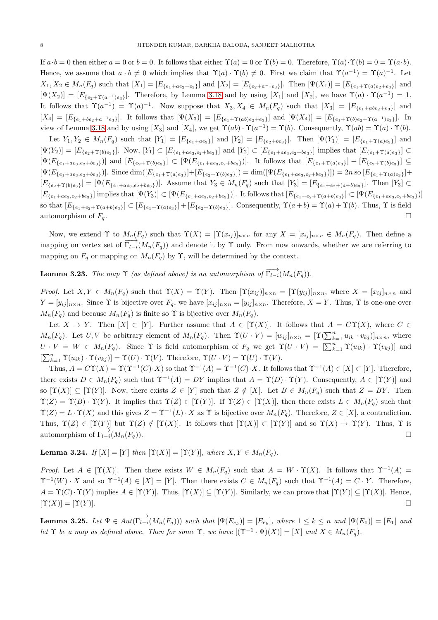If  $a \cdot b = 0$  then either  $a = 0$  or  $b = 0$ . It follows that either  $\Upsilon(a) = 0$  or  $\Upsilon(b) = 0$ . Therefore,  $\Upsilon(a) \cdot \Upsilon(b) = 0 = \Upsilon(a \cdot b)$ . Hence, we assume that  $a \cdot b \neq 0$  which implies that  $\Upsilon(a) \cdot \Upsilon(b) \neq 0$ . First we claim that  $\Upsilon(a^{-1}) = \Upsilon(a)^{-1}$ . Let  $X_1, X_2 \in M_n(F_q)$  such that  $[X_1] = [E_{\{e_1 + ae_2+e_3\}}]$  and  $[X_2] = [E_{\{e_2+a^{-1}e_3\}}]$ . Then  $[\Psi(X_1)] = [E_{\{e_1+a'(a)e_2+e_3\}}]$  and  $[\Psi(X_2)] = [E_{\{e_2 + \Upsilon(a^{-1})e_3\}}]$ . Therefore, by Lemma [3.18](#page-5-2) and by using [X<sub>1</sub>] and [X<sub>2</sub>], we have  $\Upsilon(a) \cdot \Upsilon(a^{-1}) = 1$ . It follows that  $\Upsilon(a^{-1}) = \Upsilon(a)^{-1}$ . Now suppose that  $X_3, X_4 \in M_n(F_q)$  such that  $[X_3] = [E_{\{e_1+abe_2+e_3\}}]$  and  $[X_4] = [E_{\{e_1 + be_2 + a^{-1}e_3\}}]$ . It follows that  $[\Psi(X_3)] = [E_{\{e_1 + \Upsilon(ab)e_2 + e_3\}}]$  and  $[\Psi(X_4)] = [E_{\{e_1 + \Upsilon(b)e_2 + \Upsilon(a^{-1})e_3\}}]$ . In view of Lemma [3.18](#page-5-2) and by using  $[X_3]$  and  $[X_4]$ , we get  $\Upsilon(ab) \cdot \Upsilon(a^{-1}) = \Upsilon(b)$ . Consequently,  $\Upsilon(ab) = \Upsilon(a) \cdot \Upsilon(b)$ .

Let  $Y_1, Y_2 \in M_n(F_q)$  such that  $[Y_1] = [E_{\{e_1 + ae_3\}}]$  and  $[Y_2] = [E_{\{e_2 + be_3\}}]$ . Then  $[\Psi(Y_1)] = [E_{\{e_1 + \Upsilon(a)e_3\}}]$  and  $[\Psi(Y_2)] = [E_{\{e_2 + \Upsilon(b)e_3\}}]$ . Now,  $[Y_1] \subset [E_{\{e_1 + ae_3, e_2 + be_3\}}]$  and  $[Y_2] \subset [E_{\{e_1 + ae_3, e_2 + be_3\}}]$  implies that  $[E_{\{e_1 + \Upsilon(a)e_3\}}] \subset$  $[\Psi(E_{\{e_1+ae_3,e_2+be_3\}})]$  and  $[E_{\{e_2+\Upsilon(b)e_3\}}] \subset [\Psi(E_{\{e_1+ae_3,e_2+be_3\}})]$ . It follows that  $[E_{\{e_1+\Upsilon(a)e_3\}}] + [E_{\{e_2+\Upsilon(b)e_3\}}] \subseteq$  $[\Psi(E_{\{e_1+ae_3,e_2+be_3\}})].$  Since  $\dim([E_{\{e_1+\Upsilon(a)e_3\}}]+[E_{\{e_2+\Upsilon(b)e_3\}}]) = \dim([\Psi(E_{\{e_1+ae_3,e_2+be_3\}})]) = 2n$  so  $[E_{\{e_1+\Upsilon(a)e_3\}}]+$  $[E_{\{e_2+\Upsilon(b)e_3\}}] = [\Psi(E_{\{e_1+ae_3,e_2+be_3\}})].$  Assume that  $Y_3 \in M_n(F_q)$  such that  $[Y_3] = [E_{\{e_1+e_2+(a+b)e_3\}}]$ . Then  $[Y_3] \subset$  $[E_{\{e_1+ae_3,e_2+be_3\}}]$  implies that  $[\Psi(Y_3)] \subset [\Psi(E_{\{e_1+ae_3,e_2+be_3\}})]$ . It follows that  $[E_{\{e_1+e_2+\Upsilon(a+b)e_3\}}] \subset [\Psi(E_{\{e_1+ae_3,e_2+be_3\}})]$ so that  $[E_{\{e_1+e_2+\Upsilon(a+b)e_3\}}] \subset [E_{\{e_1+\Upsilon(a)e_3\}}] + [E_{\{e_2+\Upsilon(b)e_3\}}]$ . Consequently,  $\Upsilon(a+b) = \Upsilon(a) + \Upsilon(b)$ . Thus,  $\Upsilon$  is field automorphism of  $F_q$ .

Now, we extend  $\Upsilon$  to  $M_n(F_q)$  such that  $\Upsilon(X) = [\Upsilon(x_{ij})]_{n \times n}$  for any  $X = [x_{ij}]_{n \times n} \in M_n(F_q)$ . Then define a mapping on vertex set of  $\Gamma_{l-i}(M_n(F_q))$  and denote it by  $\Upsilon$  only. From now onwards, whether we are referring to mapping on  $F_q$  or mapping on  $M_n(F_q)$  by  $\Upsilon$ , will be determined by the context.

**Lemma 3.23.** *The map*  $\Upsilon$  *(as defined above) is an automorphism of*  $\overrightarrow{\Gamma_{l-i}}(M_n(F_q)).$ 

*Proof.* Let  $X, Y \in M_n(F_q)$  such that  $\Upsilon(X) = \Upsilon(Y)$ . Then  $[\Upsilon(x_{ij})]_{n \times n} = [\Upsilon(y_{ij})]_{n \times n}$ , where  $X = [x_{ij}]_{n \times n}$  and  $Y = [y_{ij}]_{n \times n}$ . Since  $\Upsilon$  is bijective over  $F_q$ , we have  $[x_{ij}]_{n \times n} = [y_{ij}]_{n \times n}$ . Therefore,  $X = Y$ . Thus,  $\Upsilon$  is one-one over  $M_n(F_q)$  and because  $M_n(F_q)$  is finite so  $\Upsilon$  is bijective over  $M_n(F_q)$ .

Let  $X \to Y$ . Then  $[X] \subset [Y]$ . Further assume that  $A \in [\Upsilon(X)]$ . It follows that  $A = C\Upsilon(X)$ , where  $C \in$  $M_n(F_q)$ . Let  $U, V$  be arbitrary element of  $M_n(F_q)$ . Then  $\Upsilon(U \cdot V) = [w_{ij}]_{n \times n} = [\Upsilon(\sum_{k=1}^n u_{ik} \cdot v_{kj})]_{n \times n}$ , where  $U \cdot V = W \in M_n(F_q)$ . Since  $\Upsilon$  is field automorphism of  $F_q$  we get  $\Upsilon(U \cdot V) = \left[\sum_{k=1}^n \Upsilon(u_{ik}) \cdot \Upsilon(v_{kj})\right]$  and  $[\sum_{k=1}^{n} \Upsilon(u_{ik}) \cdot \Upsilon(v_{kj})] = \Upsilon(U) \cdot \Upsilon(V)$ . Therefore,  $\Upsilon(U \cdot V) = \Upsilon(U) \cdot \Upsilon(V)$ .

Thus,  $A = C\Upsilon(X) = \Upsilon(\Upsilon^{-1}(C) \cdot X)$  so that  $\Upsilon^{-1}(A) = \Upsilon^{-1}(C) \cdot X$ . It follows that  $\Upsilon^{-1}(A) \in [X] \subset [Y]$ . Therefore, there exists  $D \in M_n(F_q)$  such that  $\Upsilon^{-1}(A) = DY$  implies that  $A = \Upsilon(D) \cdot \Upsilon(Y)$ . Consequently,  $A \in [\Upsilon(Y)]$  and so  $[\Upsilon(X)] \subseteq [\Upsilon(Y)]$ . Now, there exists  $Z \in [Y]$  such that  $Z \notin [X]$ . Let  $B \in M_n(F_q)$  such that  $Z = BY$ . Then  $\Upsilon(Z) = \Upsilon(B) \cdot \Upsilon(Y)$ . It implies that  $\Upsilon(Z) \in [\Upsilon(Y)]$ . If  $\Upsilon(Z) \in [\Upsilon(X)]$ , then there exists  $L \in M_n(F_q)$  such that  $\Upsilon(Z) = L \cdot \Upsilon(X)$  and this gives  $Z = \Upsilon^{-1}(L) \cdot X$  as  $\Upsilon$  is bijective over  $M_n(F_q)$ . Therefore,  $Z \in [X]$ , a contradiction. Thus,  $\Upsilon(Z) \in [\Upsilon(Y)]$  but  $\Upsilon(Z) \notin [\Upsilon(X)]$ . It follows that  $[\Upsilon(X)] \subset [\Upsilon(Y)]$  and so  $\Upsilon(X) \to \Upsilon(Y)$ . Thus,  $\Upsilon$  is automorphism of  $\Gamma_{l-1}(M_n(F_q)).$ 

<span id="page-7-0"></span>**Lemma 3.24.** *If*  $[X] = [Y]$  *then*  $[\Upsilon(X)] = [\Upsilon(Y)]$ *, where*  $X, Y \in M_n(F_q)$ *.* 

*Proof.* Let  $A \in [\Upsilon(X)]$ . Then there exists  $W \in M_n(F_q)$  such that  $A = W \cdot \Upsilon(X)$ . It follows that  $\Upsilon^{-1}(A) =$  $\Upsilon^{-1}(W) \cdot X$  and so  $\Upsilon^{-1}(A) \in [X] = [Y]$ . Then there exists  $C \in M_n(F_q)$  such that  $\Upsilon^{-1}(A) = C \cdot Y$ . Therefore,  $A = \Upsilon(C) \cdot \Upsilon(Y)$  implies  $A \in [\Upsilon(Y)]$ . Thus,  $[\Upsilon(X)] \subseteq [\Upsilon(Y)]$ . Similarly, we can prove that  $[\Upsilon(Y)] \subseteq [\Upsilon(X)]$ . Hence,  $[\Upsilon(X)] = [\Upsilon(Y)].$ 

<span id="page-7-1"></span>**Lemma 3.25.** Let  $\Psi \in Aut(\overrightarrow{\Gamma_{l-i}}(M_n(F_q)))$  such that  $[\Psi(E_{e_k})] = [E_{e_k}]$ , where  $1 \leq k \leq n$  and  $[\Psi(E_1)] = [E_1]$  and *let*  $\Upsilon$  *be a map as defined above. Then for some*  $\Upsilon$ *, we have*  $[(\Upsilon^{-1} \cdot \Psi)(X)] = [X]$  *and*  $X \in M_n(F_q)$ *.*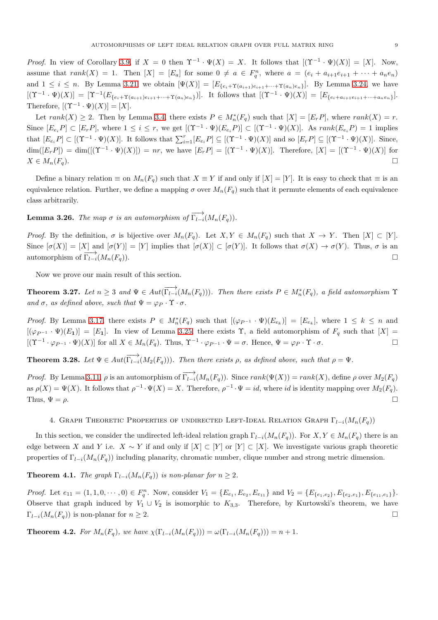*Proof.* In view of Corollary [3.9,](#page-3-2) if  $X = 0$  then  $\Upsilon^{-1} \cdot \Psi(X) = X$ . It follows that  $[(\Upsilon^{-1} \cdot \Psi)(X)] = [X]$ . Now, assume that  $rank(X) = 1$ . Then  $[X] = [E_a]$  for some  $0 \neq a \in F_q^n$ , where  $a = (e_i + a_{i+1}e_{i+1} + \cdots + a_ne_n)$ and  $1 \leq i \leq n$ . By Lemma [3.21,](#page-6-1) we obtain  $[\Psi(X)] = [E_{\{e_i+\Upsilon(a_{i+1})e_{i+1}+\cdots+\Upsilon(a_n)e_n\}}]$ . By Lemma [3.24,](#page-7-0) we have  $[(\Upsilon^{-1}\cdot\Psi)(X)] = [\Upsilon^{-1}(E_{\{e_i+\Upsilon(a_{i+1})e_{i+1}+\cdots+\Upsilon(a_n)e_n\}})].$  It follows that  $[(\Upsilon^{-1}\cdot\Psi)(X)] = [E_{\{e_i+a_{i+1}e_{i+1}+\cdots+a_ne_n\}}].$ Therefore,  $[(\Upsilon^{-1} \cdot \Psi)(X)] = [X].$ 

Let  $rank(X) \geq 2$ . Then by Lemma [3.4,](#page-2-3) there exists  $P \in M_n^*(F_q)$  such that  $[X] = [E_r P]$ , where  $rank(X) = r$ . Since  $[E_{e_i}P] \subset [E_rP]$ , where  $1 \leq i \leq r$ , we get  $[(\Upsilon^{-1} \cdot \Psi)(E_{e_i}P)] \subset [(\Upsilon^{-1} \cdot \Psi)(X)]$ . As  $rank(E_{e_i}P) = 1$  implies that  $[E_{e_i}P] \subset [(\Upsilon^{-1} \cdot \Psi)(X)]$ . It follows that  $\sum_{i=1}^r [E_{e_i}P] \subseteq [(\Upsilon^{-1} \cdot \Psi)(X)]$  and so  $[E_rP] \subseteq [(\Upsilon^{-1} \cdot \Psi)(X)]$ . Since,  $\dim([E_r P]) = \dim([(\Upsilon^{-1} \cdot \Psi)(X)]) = nr$ , we have  $[E_r P] = [(\Upsilon^{-1} \cdot \Psi)(X)]$ . Therefore,  $[X] = [(\Upsilon^{-1} \cdot \Psi)(X)]$  for  $X \in M_n(F_q)$ .

Define a binary relation  $\equiv$  on  $M_n(F_q)$  such that  $X \equiv Y$  if and only if  $[X] = [Y]$ . It is easy to check that  $\equiv$  is an equivalence relation. Further, we define a mapping  $\sigma$  over  $M_n(F_q)$  such that it permute elements of each equivalence class arbitrarily.

**Lemma 3.26.** *The map*  $\sigma$  *is an automorphism of*  $\overrightarrow{\Gamma_{l-i}}(M_n(F_{\sigma}))$ *.* 

*Proof.* By the definition,  $\sigma$  is bijective over  $M_n(F_q)$ . Let  $X, Y \in M_n(F_q)$  such that  $X \to Y$ . Then  $[X] \subset [Y]$ . Since  $[\sigma(X)] = [X]$  and  $[\sigma(Y)] = [Y]$  implies that  $[\sigma(X)] \subset [\sigma(Y)]$ . It follows that  $\sigma(X) \to \sigma(Y)$ . Thus,  $\sigma$  is an automorphism of  $\overrightarrow{\Gamma_{l-i}}(M_n(F_q)).$ 

Now we prove our main result of this section.

**Theorem 3.27.** Let  $n \geq 3$  and  $\Psi \in Aut(\overrightarrow{\Gamma_{l-i}}(M_n(F_q)))$ . Then there exists  $P \in M_n^*(F_q)$ , a field automorphism  $\Upsilon$ and  $\sigma$ *, as defined above, such that*  $\Psi = \varphi_P \cdot \Upsilon \cdot \sigma$ *.* 

*Proof.* By Lemma [3.17,](#page-5-1) there exists  $P \in M_n^*(F_q)$  such that  $[(\varphi_{P^{-1}} \cdot \Psi)(E_{e_k})] = [E_{e_k}]$ , where  $1 \leq k \leq n$  and  $[(\varphi_{P^{-1}} \cdot \Psi)(E_1)] = [E_1]$ . In view of Lemma [3.25,](#page-7-1) there exists  $\Upsilon$ , a field automorphism of  $F_q$  such that  $[X] =$  $[(\Upsilon^{-1} \cdot \varphi_{P^{-1}} \cdot \Psi)(X)]$  for all  $X \in M_n(F_q)$ . Thus,  $\Upsilon^{-1} \cdot \varphi_{P^{-1}} \cdot \Psi = \sigma$ . Hence,  $\Psi = \varphi_P \cdot \Upsilon \cdot \sigma$ .

**Theorem 3.28.** Let  $\Psi \in Aut(\overrightarrow{\Gamma_{l-i}}(M_2(F_q)))$ . Then there exists  $\rho$ , as defined above, such that  $\rho = \Psi$ .

*Proof.* By Lemma [3.11,](#page-4-4)  $\rho$  is an automorphism of  $\overrightarrow{\Gamma_{l-i}}(M_n(F_q))$ . Since  $rank(\Psi(X)) = rank(X)$ , define  $\rho$  over  $M_2(F_q)$ as  $\rho(X) = \Psi(X)$ . It follows that  $\rho^{-1} \cdot \Psi(X) = X$ . Therefore,  $\rho^{-1} \cdot \Psi = id$ , where id is identity mapping over  $M_2(F_q)$ . Thus,  $\Psi = \rho$ .

## 4. GRAPH THEORETIC PROPERTIES OF UNDIRECTED LEFT-IDEAL RELATION GRAPH  $\Gamma_{l-i}(M_n(F_q))$

In this section, we consider the undirected left-ideal relation graph  $\Gamma_{l-i}(M_n(F_q))$ . For  $X, Y \in M_n(F_q)$  there is an edge between X and Y i.e.  $X \sim Y$  if and only if  $[X] \subset [Y]$  or  $[Y] \subset [X]$ . We investigate various graph theoretic properties of  $\Gamma_{l-i}(M_n(F_q))$  including planarity, chromatic number, clique number and strong metric dimension.

**Theorem 4.1.** *The graph*  $\Gamma_{l-i}(M_n(F_q))$  *is non-planar for*  $n \geq 2$ *.* 

*Proof.* Let  $e_{11} = (1, 1, 0, \dots, 0) \in F_q^n$ . Now, consider  $V_1 = \{E_{e_1}, E_{e_2}, E_{e_{11}}\}$  and  $V_2 = \{E_{\{e_1, e_2\}}, E_{\{e_2, e_1\}}, E_{\{e_{11}, e_1\}}\}$ . Observe that graph induced by  $V_1 \cup V_2$  is isomorphic to  $K_{3,3}$ . Therefore, by Kurtowski's theorem, we have  $\Gamma_{l-i}(M_n(F_q))$  is non-planar for  $n \geq 2$ .

<span id="page-8-0"></span>**Theorem 4.2.** *For*  $M_n(F_q)$ *, we have*  $\chi(\Gamma_{l-i}(M_n(F_q))) = \omega(\Gamma_{l-i}(M_n(F_q))) = n+1$ *.*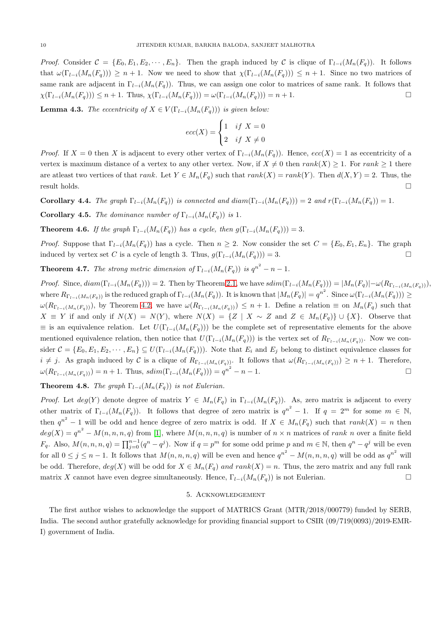*Proof.* Consider  $C = \{E_0, E_1, E_2, \cdots, E_n\}$ . Then the graph induced by C is clique of  $\Gamma_{l-i}(M_n(F_q))$ . It follows that  $\omega(\Gamma_{l-i}(M_n(F_q))) \geq n+1$ . Now we need to show that  $\chi(\Gamma_{l-i}(M_n(F_q))) \leq n+1$ . Since no two matrices of same rank are adjacent in  $\Gamma_{l-i}(M_n(F_q))$ . Thus, we can assign one color to matrices of same rank. It follows that  $\chi(\Gamma_{l-i}(M_n(F_q))) \leq n+1$ . Thus,  $\chi(\Gamma_{l-i}(M_n(F_q))) = \omega(\Gamma_{l-i}(M_n(F_q))) = n+1$ .

**Lemma 4.3.** *The eccentricity of*  $X \in V(\Gamma_{l-i}(M_n(F_q)))$  *is given below:* 

$$
ecc(X) = \begin{cases} 1 & if \ X = 0 \\ 2 & if \ X \neq 0 \end{cases}
$$

*Proof.* If  $X = 0$  then X is adjacent to every other vertex of  $\Gamma_{l-i}(M_n(F_q))$ . Hence,  $ecc(X) = 1$  as eccentricity of a vertex is maximum distance of a vertex to any other vertex. Now, if  $X \neq 0$  then  $rank(X) \geq 1$ . For  $rank \geq 1$  there are atleast two vertices of that rank. Let  $Y \in M_n(F_q)$  such that rank $(X) = rank(Y)$ . Then  $d(X, Y) = 2$ . Thus, the result holds.  $\Box$ 

Corollary 4.4. *The graph*  $\Gamma_{l-i}(M_n(F_q))$  *is connected and diam*( $\Gamma_{l-i}(M_n(F_q)) = 2$  *and*  $r(\Gamma_{l-i}(M_n(F_q)) = 1$ *.* 

**Corollary 4.5.** *The dominance number of*  $\Gamma_{l-i}(M_n(F_q))$  *is* 1*.* 

**Theorem 4.6.** *If the graph*  $\Gamma_{l-i}(M_n(F_q))$  *has a cycle, then*  $g(\Gamma_{l-i}(M_n(F_q))) = 3$ *.* 

*Proof.* Suppose that  $\Gamma_{l-i}(M_n(F_q))$  has a cycle. Then  $n \geq 2$ . Now consider the set  $C = \{E_0, E_1, E_n\}$ . The graph induced by vertex set C is a cycle of length 3. Thus,  $g(\Gamma_{l-i}(M_n(F_q))) = 3$ .

**Theorem 4.7.** *The strong metric dimension of*  $\Gamma_{l-i}(M_n(F_q))$  *is*  $q^{n^2} - n - 1$ *.* 

*Proof.* Since,  $diam(\Gamma_{l-i}(M_n(F_q))) = 2$ . Then by Theorem [2.1,](#page-1-0) we have  $sdim(\Gamma_{l-i}(M_n(F_q))) = |M_n(F_q)| - \omega(R_{\Gamma_{l-i}(M_n(F_q))})$ , where  $R_{\Gamma_{l-i}(M_n(F_q))}$  is the reduced graph of  $\Gamma_{l-i}(M_n(F_q))$ . It is known that  $|M_n(F_q)| = q^{n^2}$ . Since  $\omega(\Gamma_{l-i}(M_n(F_q))) \ge$  $\omega(R_{\Gamma_{l-i}(M_n(F_q)))$ , by Theorem [4.2,](#page-8-0) we have  $\omega(R_{\Gamma_{l-i}(M_n(F_q))) \leq n+1$ . Define a relation  $\equiv$  on  $M_n(F_q)$  such that  $X \equiv Y$  if and only if  $N(X) = N(Y)$ , where  $N(X) = \{Z \mid X \sim Z \text{ and } Z \in M_n(F_q)\} \cup \{X\}$ . Observe that  $\equiv$  is an equivalence relation. Let  $U(\Gamma_{l-i}(M_n(F_q)))$  be the complete set of representative elements for the above mentioned equivalence relation, then notice that  $U(\Gamma_{l-i}(M_n(F_q)))$  is the vertex set of  $R_{\Gamma_{l-i}(M_n(F_q))}$ . Now we consider  $C = \{E_0, E_1, E_2, \cdots, E_n\} \subseteq U(\Gamma_{l-i}(M_n(F_q)))$ . Note that  $E_i$  and  $E_j$  belong to distinct equivalence classes for  $i \neq j$ . As graph induced by C is a clique of  $R_{\Gamma_{l-i}(M_n(F_q))}$ . It follows that  $\omega(R_{\Gamma_{l-i}(M_n(F_q))}) \geq n+1$ . Therefore,  $\omega(R_{\Gamma_{l-i}(M_n(F_q))}) = n+1$ . Thus,  $sdim(\Gamma_{l-i}(M_n(F_q))) = q^{n^2} - n - 1$ .

**Theorem 4.8.** *The graph*  $\Gamma_{l-i}(M_n(F_q))$  *is not Eulerian.* 

*Proof.* Let  $deg(Y)$  denote degree of matrix  $Y \in M_n(F_q)$  in  $\Gamma_{l-i}(M_n(F_q))$ . As, zero matrix is adjacent to every other matrix of  $\Gamma_{l-i}(M_n(F_q))$ . It follows that degree of zero matrix is  $q^{n^2}-1$ . If  $q=2^m$  for some  $m \in \mathbb{N}$ , then  $q^{n^2} - 1$  will be odd and hence degree of zero matrix is odd. If  $X \in M_n(F_q)$  such that  $rank(X) = n$  then  $deg(X) = q^{n^2} - M(n, n, n, q)$  from [\[1\]](#page-10-23), where  $M(n, n, n, q)$  is number of  $n \times n$  matrices of rank n over a finite field  $F_q$ . Also,  $M(n, n, n, q) = \prod_{j=0}^{n-1} (q^n - q^j)$ . Now if  $q = p^m$  for some odd prime p and  $m \in \mathbb{N}$ , then  $q^n - q^j$  will be even for all  $0 \leq j \leq n-1$ . It follows that  $M(n, n, n, q)$  will be even and hence  $q^{n^2} - M(n, n, n, q)$  will be odd as  $q^{n^2}$  will be odd. Therefore,  $deg(X)$  will be odd for  $X \in M_n(F_q)$  and  $rank(X) = n$ . Thus, the zero matrix and any full rank matrix X cannot have even degree simultaneously. Hence,  $\Gamma_{l-i}(M_n(F_q))$  is not Eulerian.

## 5. Acknowledgement

The first author wishes to acknowledge the support of MATRICS Grant (MTR/2018/000779) funded by SERB, India. The second author gratefully acknowledge for providing financial support to CSIR (09/719(0093)/2019-EMR-I) government of India.